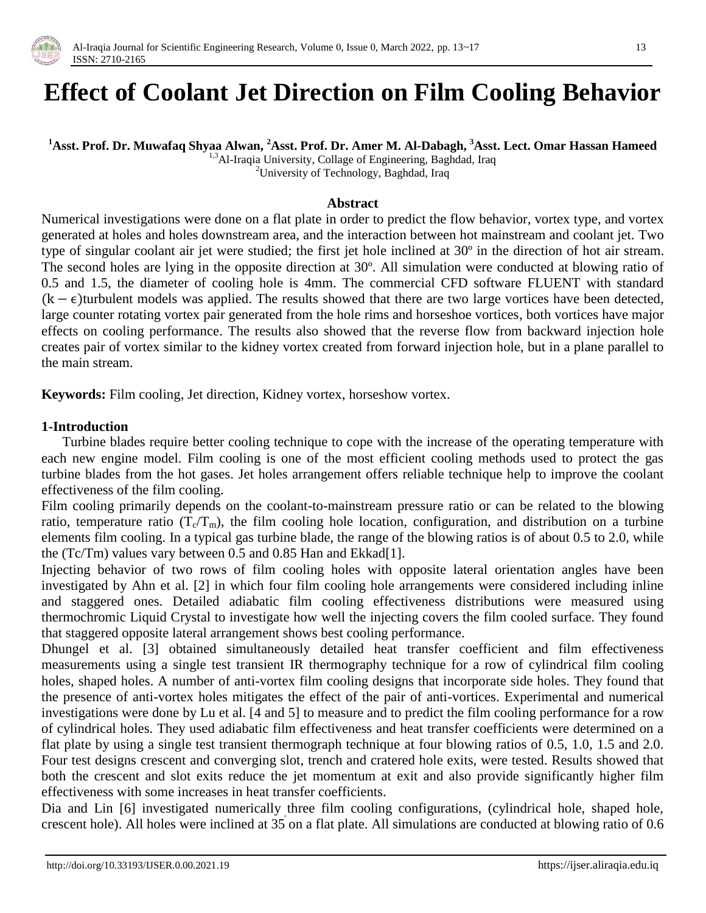

# **Effect of Coolant Jet Direction on Film Cooling Behavior**

### **<sup>1</sup>Asst. Prof. Dr. Muwafaq Shyaa Alwan, <sup>2</sup>Asst. Prof. Dr. Amer M. Al-Dabagh, <sup>3</sup>Asst. Lect. Omar Hassan Hameed**

<sup>1,3</sup>Al-Iraqia University, Collage of Engineering, Baghdad, Iraq

<sup>2</sup>University of Technology, Baghdad, Iraq

#### **Abstract**

Numerical investigations were done on a flat plate in order to predict the flow behavior, vortex type, and vortex generated at holes and holes downstream area, and the interaction between hot mainstream and coolant jet. Two type of singular coolant air jet were studied; the first jet hole inclined at 30º in the direction of hot air stream. The second holes are lying in the opposite direction at 30º. All simulation were conducted at blowing ratio of 0.5 and 1.5, the diameter of cooling hole is 4mm. The commercial CFD software FLUENT with standard  $(k - \epsilon)$  turbulent models was applied. The results showed that there are two large vortices have been detected, large counter rotating vortex pair generated from the hole rims and horseshoe vortices, both vortices have major effects on cooling performance. The results also showed that the reverse flow from backward injection hole creates pair of vortex similar to the kidney vortex created from forward injection hole, but in a plane parallel to the main stream.

**Keywords:** Film cooling, Jet direction, Kidney vortex, horseshow vortex.

#### **1-Introduction**

 Turbine blades require better cooling technique to cope with the increase of the operating temperature with each new engine model. Film cooling is one of the most efficient cooling methods used to protect the gas turbine blades from the hot gases. Jet holes arrangement offers reliable technique help to improve the coolant effectiveness of the film cooling.

Film cooling primarily depends on the coolant-to-mainstream pressure ratio or can be related to the blowing ratio, temperature ratio  $(T_c/T_m)$ , the film cooling hole location, configuration, and distribution on a turbine elements film cooling. In a typical gas turbine blade, the range of the blowing ratios is of about 0.5 to 2.0, while the (Tc/Tm) values vary between 0.5 and 0.85 Han and Ekkad[1].

Injecting behavior of two rows of film cooling holes with opposite lateral orientation angles have been investigated by Ahn et al. [2] in which four film cooling hole arrangements were considered including inline and staggered ones. Detailed adiabatic film cooling effectiveness distributions were measured using thermochromic Liquid Crystal to investigate how well the injecting covers the film cooled surface. They found that staggered opposite lateral arrangement shows best cooling performance.

Dhungel et al. [3] obtained simultaneously detailed heat transfer coefficient and film effectiveness measurements using a single test transient IR thermography technique for a row of cylindrical film cooling holes, shaped holes. A number of anti-vortex film cooling designs that incorporate side holes. They found that the presence of anti-vortex holes mitigates the effect of the pair of anti-vortices. Experimental and numerical investigations were done by Lu et al. [4 and 5] to measure and to predict the film cooling performance for a row of cylindrical holes. They used adiabatic film effectiveness and heat transfer coefficients were determined on a flat plate by using a single test transient thermograph technique at four blowing ratios of 0.5, 1.0, 1.5 and 2.0. Four test designs crescent and converging slot, trench and cratered hole exits, were tested. Results showed that both the crescent and slot exits reduce the jet momentum at exit and also provide significantly higher film effectiveness with some increases in heat transfer coefficients.

Dia and Lin [6] investigated numerically three film cooling configurations, (cylindrical hole, shaped hole, crescent hole). All holes were inclined at 35 on a flat plate. All simulations are conducted at blowing ratio of 0.6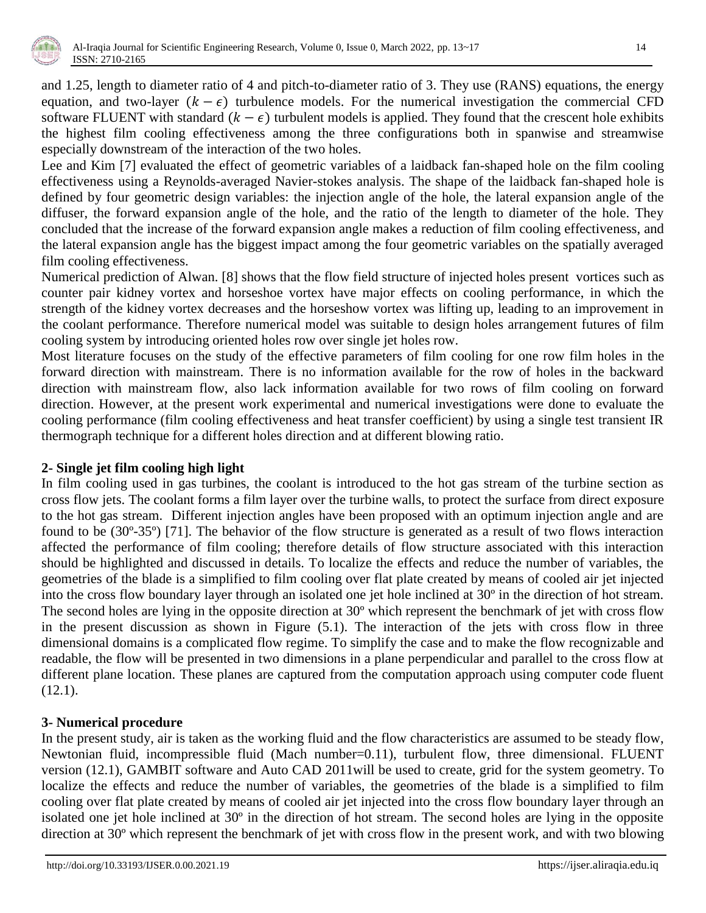

and 1.25, length to diameter ratio of 4 and pitch-to-diameter ratio of 3. They use (RANS) equations, the energy equation, and two-layer  $(k - \epsilon)$  turbulence models. For the numerical investigation the commercial CFD software FLUENT with standard  $(k - \epsilon)$  turbulent models is applied. They found that the crescent hole exhibits the highest film cooling effectiveness among the three configurations both in spanwise and streamwise especially downstream of the interaction of the two holes.

Lee and Kim [7] evaluated the effect of geometric variables of a laidback fan-shaped hole on the film cooling effectiveness using a Reynolds-averaged Navier-stokes analysis. The shape of the laidback fan-shaped hole is defined by four geometric design variables: the injection angle of the hole, the lateral expansion angle of the diffuser, the forward expansion angle of the hole, and the ratio of the length to diameter of the hole. They concluded that the increase of the forward expansion angle makes a reduction of film cooling effectiveness, and the lateral expansion angle has the biggest impact among the four geometric variables on the spatially averaged film cooling effectiveness.

Numerical prediction of Alwan. [8] shows that the flow field structure of injected holes present vortices such as counter pair kidney vortex and horseshoe vortex have major effects on cooling performance, in which the strength of the kidney vortex decreases and the horseshow vortex was lifting up, leading to an improvement in the coolant performance. Therefore numerical model was suitable to design holes arrangement futures of film cooling system by introducing oriented holes row over single jet holes row.

Most literature focuses on the study of the effective parameters of film cooling for one row film holes in the forward direction with mainstream. There is no information available for the row of holes in the backward direction with mainstream flow, also lack information available for two rows of film cooling on forward direction. However, at the present work experimental and numerical investigations were done to evaluate the cooling performance (film cooling effectiveness and heat transfer coefficient) by using a single test transient IR thermograph technique for a different holes direction and at different blowing ratio.

#### **2- Single jet film cooling high light**

In film cooling used in gas turbines, the coolant is introduced to the hot gas stream of the turbine section as cross flow jets. The coolant forms a film layer over the turbine walls, to protect the surface from direct exposure to the hot gas stream. Different injection angles have been proposed with an optimum injection angle and are found to be (30º-35º) [71]. The behavior of the flow structure is generated as a result of two flows interaction affected the performance of film cooling; therefore details of flow structure associated with this interaction should be highlighted and discussed in details. To localize the effects and reduce the number of variables, the geometries of the blade is a simplified to film cooling over flat plate created by means of cooled air jet injected into the cross flow boundary layer through an isolated one jet hole inclined at 30º in the direction of hot stream. The second holes are lying in the opposite direction at 30º which represent the benchmark of jet with cross flow in the present discussion as shown in Figure (5.1). The interaction of the jets with cross flow in three dimensional domains is a complicated flow regime. To simplify the case and to make the flow recognizable and readable, the flow will be presented in two dimensions in a plane perpendicular and parallel to the cross flow at different plane location. These planes are captured from the computation approach using computer code fluent (12.1).

## **3- Numerical procedure**

In the present study, air is taken as the working fluid and the flow characteristics are assumed to be steady flow, Newtonian fluid, incompressible fluid (Mach number=0.11), turbulent flow, three dimensional. FLUENT version (12.1), GAMBIT software and Auto CAD 2011will be used to create, grid for the system geometry. To localize the effects and reduce the number of variables, the geometries of the blade is a simplified to film cooling over flat plate created by means of cooled air jet injected into the cross flow boundary layer through an isolated one jet hole inclined at 30º in the direction of hot stream. The second holes are lying in the opposite direction at 30º which represent the benchmark of jet with cross flow in the present work, and with two blowing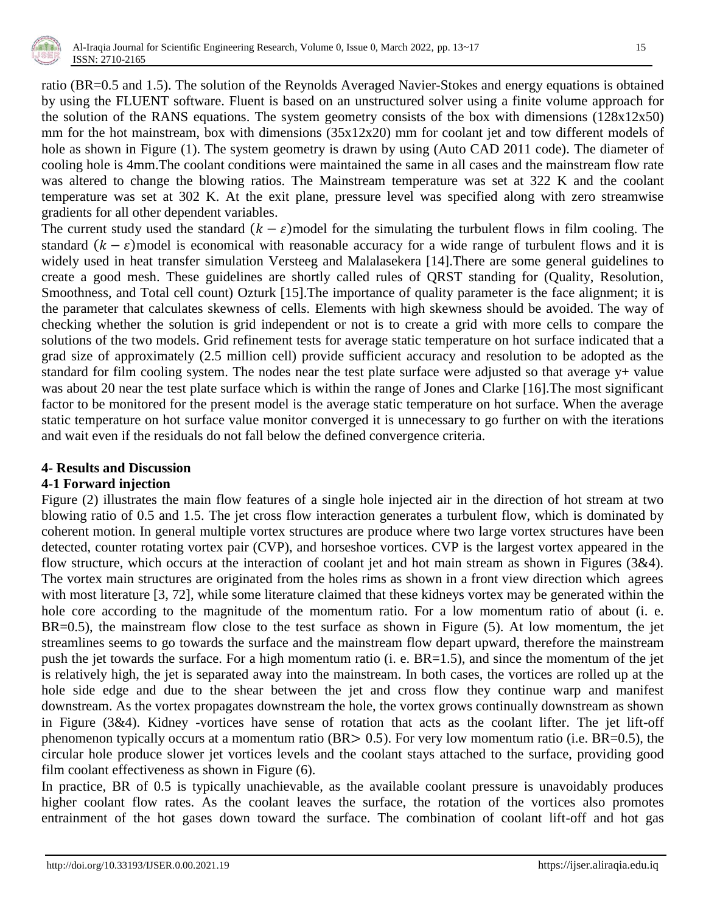

ratio (BR=0.5 and 1.5). The solution of the Reynolds Averaged Navier-Stokes and energy equations is obtained by using the FLUENT software. Fluent is based on an unstructured solver using a finite volume approach for the solution of the RANS equations. The system geometry consists of the box with dimensions (128x12x50) mm for the hot mainstream, box with dimensions (35x12x20) mm for coolant jet and tow different models of hole as shown in Figure (1). The system geometry is drawn by using (Auto CAD 2011 code). The diameter of cooling hole is 4mm.The coolant conditions were maintained the same in all cases and the mainstream flow rate was altered to change the blowing ratios. The Mainstream temperature was set at 322 K and the coolant temperature was set at 302 K. At the exit plane, pressure level was specified along with zero streamwise gradients for all other dependent variables.

The current study used the standard  $(k - \varepsilon)$  model for the simulating the turbulent flows in film cooling. The standard  $(k - \varepsilon)$  model is economical with reasonable accuracy for a wide range of turbulent flows and it is widely used in heat transfer simulation Versteeg and Malalasekera [14].There are some general guidelines to create a good mesh. These guidelines are shortly called rules of QRST standing for (Quality, Resolution, Smoothness, and Total cell count) Ozturk [15].The importance of quality parameter is the face alignment; it is the parameter that calculates skewness of cells. Elements with high skewness should be avoided. The way of checking whether the solution is grid independent or not is to create a grid with more cells to compare the solutions of the two models. Grid refinement tests for average static temperature on hot surface indicated that a grad size of approximately (2.5 million cell) provide sufficient accuracy and resolution to be adopted as the standard for film cooling system. The nodes near the test plate surface were adjusted so that average y+ value was about 20 near the test plate surface which is within the range of Jones and Clarke [16].The most significant factor to be monitored for the present model is the average static temperature on hot surface. When the average static temperature on hot surface value monitor converged it is unnecessary to go further on with the iterations and wait even if the residuals do not fall below the defined convergence criteria.

#### **4- Results and Discussion**

## **4-1 Forward injection**

Figure (2) illustrates the main flow features of a single hole injected air in the direction of hot stream at two blowing ratio of 0.5 and 1.5. The jet cross flow interaction generates a turbulent flow, which is dominated by coherent motion. In general multiple vortex structures are produce where two large vortex structures have been detected, counter rotating vortex pair (CVP), and horseshoe vortices. CVP is the largest vortex appeared in the flow structure, which occurs at the interaction of coolant jet and hot main stream as shown in Figures (3&4). The vortex main structures are originated from the holes rims as shown in a front view direction which agrees with most literature [3, 72], while some literature claimed that these kidneys vortex may be generated within the hole core according to the magnitude of the momentum ratio. For a low momentum ratio of about (i. e. BR=0.5), the mainstream flow close to the test surface as shown in Figure (5). At low momentum, the jet streamlines seems to go towards the surface and the mainstream flow depart upward, therefore the mainstream push the jet towards the surface. For a high momentum ratio (i. e. BR=1.5), and since the momentum of the jet is relatively high, the jet is separated away into the mainstream. In both cases, the vortices are rolled up at the hole side edge and due to the shear between the jet and cross flow they continue warp and manifest downstream. As the vortex propagates downstream the hole, the vortex grows continually downstream as shown in Figure (3&4). Kidney -vortices have sense of rotation that acts as the coolant lifter. The jet lift-off phenomenon typically occurs at a momentum ratio (BR $> 0.5$ ). For very low momentum ratio (i.e. BR=0.5), the circular hole produce slower jet vortices levels and the coolant stays attached to the surface, providing good film coolant effectiveness as shown in Figure (6).

In practice, BR of 0.5 is typically unachievable, as the available coolant pressure is unavoidably produces higher coolant flow rates. As the coolant leaves the surface, the rotation of the vortices also promotes entrainment of the hot gases down toward the surface. The combination of coolant lift-off and hot gas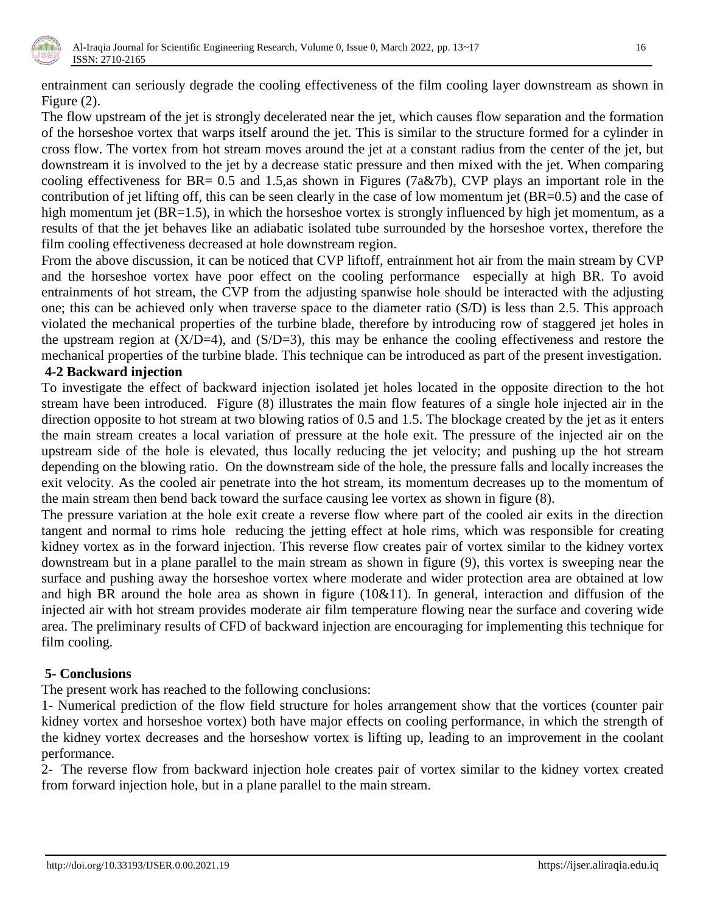

entrainment can seriously degrade the cooling effectiveness of the film cooling layer downstream as shown in Figure (2).

The flow upstream of the jet is strongly decelerated near the jet, which causes flow separation and the formation of the horseshoe vortex that warps itself around the jet. This is similar to the structure formed for a cylinder in cross flow. The vortex from hot stream moves around the jet at a constant radius from the center of the jet, but downstream it is involved to the jet by a decrease static pressure and then mixed with the jet. When comparing cooling effectiveness for BR= 0.5 and 1.5,as shown in Figures (7a&7b), CVP plays an important role in the contribution of jet lifting off, this can be seen clearly in the case of low momentum jet (BR=0.5) and the case of high momentum jet (BR=1.5), in which the horseshoe vortex is strongly influenced by high jet momentum, as a results of that the jet behaves like an adiabatic isolated tube surrounded by the horseshoe vortex, therefore the film cooling effectiveness decreased at hole downstream region.

From the above discussion, it can be noticed that CVP liftoff, entrainment hot air from the main stream by CVP and the horseshoe vortex have poor effect on the cooling performance especially at high BR. To avoid entrainments of hot stream, the CVP from the adjusting spanwise hole should be interacted with the adjusting one; this can be achieved only when traverse space to the diameter ratio (S/D) is less than 2.5. This approach violated the mechanical properties of the turbine blade, therefore by introducing row of staggered jet holes in the upstream region at  $(X/D=4)$ , and  $(S/D=3)$ , this may be enhance the cooling effectiveness and restore the mechanical properties of the turbine blade. This technique can be introduced as part of the present investigation.

#### **4-2 Backward injection**

To investigate the effect of backward injection isolated jet holes located in the opposite direction to the hot stream have been introduced. Figure (8) illustrates the main flow features of a single hole injected air in the direction opposite to hot stream at two blowing ratios of 0.5 and 1.5. The blockage created by the jet as it enters the main stream creates a local variation of pressure at the hole exit. The pressure of the injected air on the upstream side of the hole is elevated, thus locally reducing the jet velocity; and pushing up the hot stream depending on the blowing ratio. On the downstream side of the hole, the pressure falls and locally increases the exit velocity. As the cooled air penetrate into the hot stream, its momentum decreases up to the momentum of the main stream then bend back toward the surface causing lee vortex as shown in figure (8).

The pressure variation at the hole exit create a reverse flow where part of the cooled air exits in the direction tangent and normal to rims hole reducing the jetting effect at hole rims, which was responsible for creating kidney vortex as in the forward injection. This reverse flow creates pair of vortex similar to the kidney vortex downstream but in a plane parallel to the main stream as shown in figure (9), this vortex is sweeping near the surface and pushing away the horseshoe vortex where moderate and wider protection area are obtained at low and high BR around the hole area as shown in figure (10&11). In general, interaction and diffusion of the injected air with hot stream provides moderate air film temperature flowing near the surface and covering wide area. The preliminary results of CFD of backward injection are encouraging for implementing this technique for film cooling.

#### **5- Conclusions**

The present work has reached to the following conclusions:

1- Numerical prediction of the flow field structure for holes arrangement show that the vortices (counter pair kidney vortex and horseshoe vortex) both have major effects on cooling performance, in which the strength of the kidney vortex decreases and the horseshow vortex is lifting up, leading to an improvement in the coolant performance.

2- The reverse flow from backward injection hole creates pair of vortex similar to the kidney vortex created from forward injection hole, but in a plane parallel to the main stream.